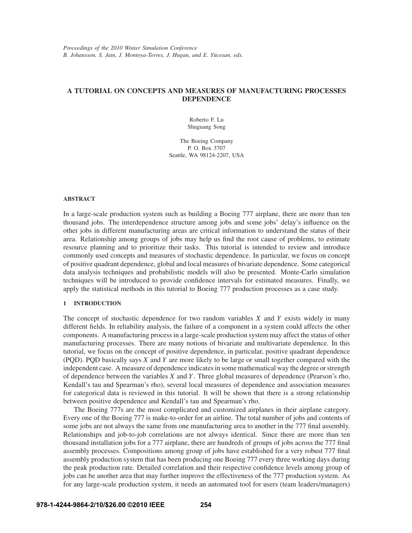# **A TUTORIAL ON CONCEPTS AND MEASURES OF MANUFACTURING PROCESSES DEPENDENCE**

Roberto F. Lu Shuguang Song

The Boeing Company P. O. Box 3707 Seattle, WA 98124-2207, USA

### **ABSTRACT**

In a large-scale production system such as building a Boeing 777 airplane, there are more than ten thousand jobs. The interdependence structure among jobs and some jobs' delay's influence on the other jobs in different manufacturing areas are critical information to understand the status of their area. Relationship among groups of jobs may help us find the root cause of problems, to estimate resource planning and to prioritize their tasks. This tutorial is intended to review and introduce commonly used concepts and measures of stochastic dependence. In particular, we focus on concept of positive quadrant dependence, global and local measures of bivariate dependence. Some categorical data analysis techniques and probabilistic models will also be presented. Monte-Carlo simulation techniques will be introduced to provide confidence intervals for estimated measures. Finally, we apply the statistical methods in this tutorial to Boeing 777 production processes as a case study.

## **1 INTRODUCTION**

The concept of stochastic dependence for two random variables *X* and *Y* exists widely in many different fields. In reliability analysis, the failure of a component in a system could affects the other components. A manufacturing process in a large-scale production system may affect the status of other manufacturing processes. There are many notions of bivariate and multivariate dependence. In this tutorial, we focus on the concept of positive dependence, in particular, positive quadrant dependence (PQD). PQD basically says *X* and *Y* are more likely to be large or small together compared with the independent case. A measure of dependence indicates in some mathematical way the degree or strength of dependence between the variables *X* and *Y*. Three global measures of dependence (Pearson's rho, Kendall's tau and Spearman's rho), several local measures of dependence and association measures for categorical data is reviewed in this tutorial. It will be shown that there is a strong relationship between positive dependence and Kendall's tau and Spearman's rho.

The Boeing 777s are the most complicated and customized airplanes in their airplane category. Every one of the Boeing 777 is make-to-order for an airline. The total number of jobs and contents of some jobs are not always the same from one manufacturing area to another in the 777 final assembly. Relationships and job-to-job correlations are not always identical. Since there are more than ten thousand installation jobs for a 777 airplane, there are hundreds of groups of jobs across the 777 final assembly processes. Compositions among group of jobs have established for a very robust 777 final assembly production system that has been producing one Boeing 777 every three working days during the peak production rate. Detailed correlation and their respective confidence levels among group of jobs can be another area that may further improve the effectiveness of the 777 production system. As for any large-scale production system, it needs an automated tool for users (team leaders/managers)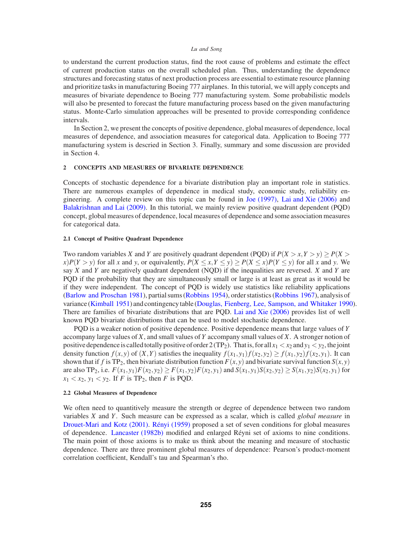to understand the current production status, find the root cause of problems and estimate the effect of current production status on the overall scheduled plan. Thus, understanding the dependence structures and forecasting status of next production process are essential to estimate resource planning and prioritize tasks in manufacturing Boeing 777 airplanes. In this tutorial, we will apply concepts and measures of bivariate dependence to Boeing 777 manufacturing system. Some probabilistic models will also be presented to forecast the future manufacturing process based on the given manufacturing status. Monte-Carlo simulation approaches will be presented to provide corresponding confidence intervals.

In Section 2, we present the concepts of positive dependence, global measures of dependence, local measures of dependence, and association measures for categorical data. Application to Boeing 777 manufacturing system is descried in Section 3. Finally, summary and some discussion are provided in Section 4.

## **2 CONCEPTS AND MEASURES OF BIVARIATE DEPENDENCE**

Concepts of stochastic dependence for a bivariate distribution play an important role in statistics. There are numerous examples of dependence in medical study, economic study, reliability engineering. A complete review on this topic can be found in Joe (1997), Lai and Xie (2006) and Balakrishnan and Lai (2009). In this tutorial, we mainly review positive quadrant dependent (PQD) concept, global measures of dependence, local measures of dependence and some association measures for categorical data.

## **2.1 Concept of Positive Quadrant Dependence**

Two random variables *X* and *Y* are positively quadrant dependent (PQD) if  $P(X > x, Y > y) \ge P(X > y)$  $x(P(Y > y)$  for all x and y, or equivalently,  $P(X \le x, Y \le y) \ge P(X \le x)P(Y \le y)$  for all x and y. We say *X* and *Y* are negatively quadrant dependent (NQD) if the inequalities are reversed. *X* and *Y* are PQD if the probability that they are simultaneously small or large is at least as great as it would be if they were independent. The concept of PQD is widely use statistics like reliability applications (Barlow and Proschan 1981), partial sums (Robbins 1954), order statistics (Robbins 1967), analysis of variance (Kimball 1951) and contingency table (Douglas, Fienberg, Lee, Sampson, and Whitaker 1990). There are families of bivariate distributions that are PQD. Lai and Xie (2006) provides list of well known PQD bivariate distributions that can be used to model stochastic dependence.

PQD is a weaker notion of positive dependence. Positive dependence means that large values of *Y* accompany large values of *X*, and small values of*Y* accompany small values of *X*. A stronger notion of positive dependence is called totally positive of order 2 (TP<sub>2</sub>). That is, for all  $x_1 < x_2$  and  $y_1 < y_2$ , the joint density function  $f(x, y)$  of  $(X, Y)$  satisfies the inequality  $f(x_1, y_1) f(x_2, y_2) \geq f(x_1, y_2) f(x_2, y_1)$ . It can shown that if *f* is TP<sub>2</sub>, then bivariate distribution function  $F(x, y)$  and bivariate survival function  $S(x, y)$ are also TP<sub>2</sub>, i.e.  $F(x_1, y_1)F(x_2, y_2) \ge F(x_1, y_2)F(x_2, y_1)$  and  $S(x_1, y_1)S(x_2, y_2) \ge S(x_1, y_2)S(x_2, y_1)$  for  $x_1 < x_2, y_1 < y_2$ . If *F* is TP<sub>2</sub>, then *F* is PQD.

### **2.2 Global Measures of Dependence**

We often need to quantitively measure the strength or degree of dependence between two random variables *X* and *Y*. Such measure can be expressed as a scalar, which is called *global measure* in Drouet-Mari and Kotz (2001). Rényi (1959) proposed a set of seven conditions for global measures of dependence. Lancaster (1982b) modified and enlarged Reyni set of axioms to nine conditions. ´ The main point of those axioms is to make us think about the meaning and measure of stochastic dependence. There are three prominent global measures of dependence: Pearson's product-moment correlation coefficient, Kendall's tau and Spearman's rho.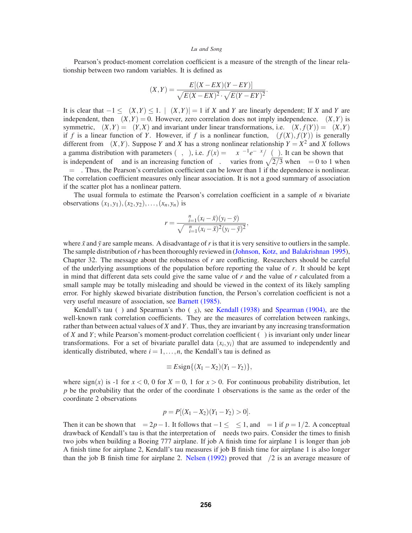Pearson's product-moment correlation coefficient is a measure of the strength of the linear relationship between two random variables. It is defined as

$$
\rho(X,Y) = \frac{E[(X - EX)(Y - EY)]}{\sqrt{E(X - EX)^2} \cdot \sqrt{E(Y - EY)^2}}.
$$

It is clear that  $-1 \le \rho(X,Y) \le 1$ .  $|\rho(X,Y)| = 1$  if *X* and *Y* are linearly dependent; If *X* and *Y* are independent, then  $\rho(X,Y) = 0$ . However, zero correlation does not imply independence.  $\rho(X,Y)$  is symmetric,  $\rho(X,Y) = \rho(Y,X)$  and invariant under linear transformations, i.e.  $\rho(X,f(Y)) = \rho(X,Y)$ if *f* is a linear function of *Y*. However, if *f* is a nonlinear function,  $\rho(f(X), f(Y))$  is generally different from  $\rho(X, Y)$ . Suppose *Y* and *X* has a strong nonlinear relationship  $Y = X^2$  and *X* follows a gamma distribution with parameters  $(δ, θ)$ , i.e.  $f(x) = θ^δx^δ^{-1}e^{-θx}/Γ(δ)$ . It can be shown that  $ρ$ is independent of  $\theta$  and is an increasing function of  $\delta$ .  $\rho$  varies from  $\sqrt{2/3}$  when  $\delta = 0$  to 1 when  $\delta = \infty$ . Thus, the Pearson's correlation coefficient can be lower than 1 if the dependence is nonlinear. The correlation coefficient measures only linear association. It is not a good summary of association if the scatter plot has a nonlinear pattern.

The usual formula to estimate the Pearson's correlation coefficient in a sample of *n* bivariate observations  $(x_1, y_1), (x_2, y_2), \ldots, (x_n, y_n)$  is

$$
r = \frac{\sum_{i=1}^{n} (x_i - \bar{x})(y_i - \bar{y})}{\sqrt{\sum_{i=1}^{n} (x_i - \bar{x})^2 (y_i - \bar{y})^2}},
$$

where  $\bar{x}$  and  $\bar{y}$  are sample means. A disadvantage of r is that it is very sensitive to outliers in the sample. The sample distribution of*r* has been thoroughly reviewed in (Johnson, Kotz, and Balakrishnan 1995), Chapter 32. The message about the robustness of *r* are conflicting. Researchers should be careful of the underlying assumptions of the population before reporting the value of *r*. It should be kept in mind that different data sets could give the same value of *r* and the value of *r* calculated from a small sample may be totally misleading and should be viewed in the context of its likely sampling error. For highly skewed bivariate distribution function, the Person's correlation coefficient is not a very useful measure of association, see Barnett (1985).

Kendall's tau  $(\tau)$  and Spearman's rho  $(\rho_S)$ , see Kendall (1938) and Spearman (1904), are the well-known rank correlation coefficients. They are the measures of correlation between rankings, rather than between actual values of *X* and*Y*. Thus, they are invariant by any increasing transformation of *X* and *Y*; while Pearson's moment-product correlation coefficient  $(\rho)$  is invariant only under linear transformations. For a set of bivariate parallel data  $(x_i, y_i)$  that are assumed to independently and identically distributed, where  $i = 1, \ldots, n$ , the Kendall's tau is defined as

$$
\tau \equiv E \operatorname{sign}\{(X_1 - X_2)(Y_1 - Y_2)\},\
$$

where  $sign(x)$  is -1 for  $x < 0$ , 0 for  $X = 0$ , 1 for  $x > 0$ . For continuous probability distribution, let *p* be the probability that the order of the coordinate 1 observations is the same as the order of the coordinate 2 observations

$$
p = P[(X_1 - X_2)(Y_1 - Y_2) > 0].
$$

Then it can be shown that  $\tau = 2p - 1$ . It follows that  $-1 \leq \tau \leq 1$ , and  $\tau = 1$  if  $p = 1/2$ . A conceptual drawback of Kendall's tau is that the interpretation of  $\tau$  needs two pairs. Consider the times to finish two jobs when building a Boeing 777 airplane. If job A finish time for airplane 1 is longer than job A finish time for airplane 2, Kendall's tau measures if job B finish time for airplane 1 is also longer than the job B finish time for airplane 2. Nelsen (1992) proved that  $\tau/2$  is an average measure of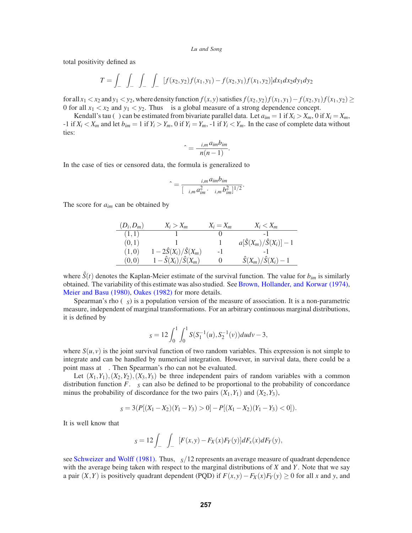total positivity defined as

$$
T = \int_{-\infty}^{\infty} \int_{-\infty}^{\infty} \int_{-\infty}^{\infty} [f(x_2, y_2) f(x_1, y_1) - f(x_2, y_1) f(x_1, y_2)] dx_1 dx_2 dy_1 dy_2
$$

for all  $x_1 < x_2$  and  $y_1 < y_2$ , where density function  $f(x, y)$  satisfies  $f(x_2, y_2)f(x_1, y_1) - f(x_2, y_1)f(x_1, y_2) \ge$ 0 for all  $x_1 < x_2$  and  $y_1 < y_2$ . Thus  $\tau$  is a global measure of a strong dependence concept.

Kendall's tau  $(\tau)$  can be estimated from bivariate parallel data. Let  $a_{im} = 1$  if  $X_i > X_m$ , 0 if  $X_i = X_m$ ,  $-1$  if  $X_i < X_m$  and let  $b_{im} = 1$  if  $Y_i > Y_m$ , 0 if  $Y_i = Y_m$ ,  $-1$  if  $Y_i < Y_m$ . In the case of complete data without ties:

$$
\hat{\tau} = \frac{\sum_{i,m} a_{im} b_{im}}{n(n-1)}.
$$

In the case of ties or censored data, the formula is generalized to

$$
\hat{\tau} = \frac{\sum_{i,m} a_{im} b_{im}}{[\sum_{i,m} a_{im}^2 \cdot \sum_{i,m} b_{im}^2]^{1/2}}.
$$

The score for *aim* can be obtained by

| $(D_i, D_m)$ | $X_i > X_m$                    | $X_i = X_m$ | $X_i < X_m$                        |
|--------------|--------------------------------|-------------|------------------------------------|
| (1,1)        |                                |             |                                    |
| (0,1)        |                                |             | $a[\hat{S}(X_m)/\hat{S}(X_i)] - 1$ |
| (1,0)        | $1-2\hat{S}(X_i)/\hat{S}(X_m)$ | - 1         |                                    |
| (0,0)        | $1-\hat{S}(X_i)/\hat{S}(X_m)$  |             | $\hat{S}(X_m)/\hat{S}(X_i)-1$      |

where  $\hat{S}(t)$  denotes the Kaplan-Meier estimate of the survival function. The value for  $b_{im}$  is similarly obtained. The variability of this estimate was also studied. See Brown, Hollander, and Korwar (1974), Meier and Basu (1980), Oakes (1982) for more details.

Spearman's rho  $(\rho_s)$  is a population version of the measure of association. It is a non-parametric measure, independent of marginal transformations. For an arbitrary continuous marginal distributions, it is defined by

$$
\rho_S = 12 \int_0^1 \int_0^1 S(S_1^{-1}(u), S_2^{-1}(v)) du dv - 3,
$$

where  $S(u, v)$  is the joint survival function of two random variables. This expression is not simple to integrate and can be handled by numerical integration. However, in survival data, there could be a point mass at ∞. Then Spearman's rho can not be evaluated.

Let  $(X_1, Y_1), (X_2, Y_2), (X_3, Y_3)$  be three independent pairs of random variables with a common distribution function *F*.  $\rho_s$  can also be defined to be proportional to the probability of concordance minus the probability of discordance for the two pairs  $(X_1, Y_1)$  and  $(X_2, Y_3)$ ,

$$
\rho_S = 3(P[(X_1 - X_2)(Y_1 - Y_3) > 0] - P[(X_1 - X_2)(Y_1 - Y_3) < 0]).
$$

It is well know that

$$
\rho_S = 12 \int_{-\infty}^{\infty} \int_{-\infty}^{\infty} [F(x, y) - F_X(x) F_Y(y)] dF_X(x) dF_Y(y),
$$

see Schweizer and Wolff (1981). Thus,  $\rho_s/12$  represents an average measure of quadrant dependence with the average being taken with respect to the marginal distributions of *X* and *Y*. Note that we say a pair  $(X, Y)$  is positively quadrant dependent (PQD) if  $F(x, y) - F_X(x)F_Y(y) \ge 0$  for all *x* and *y*, and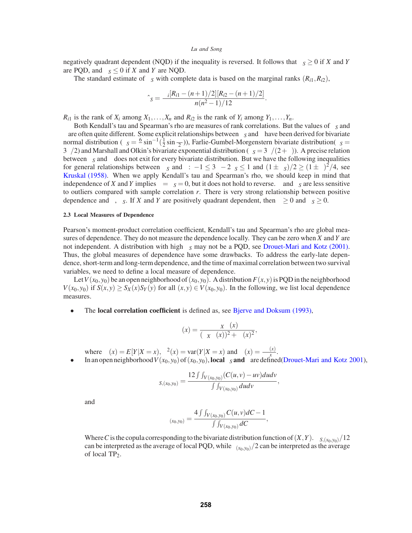negatively quadrant dependent (NQD) if the inequality is reversed. It follows that  $\rho_S \geq 0$  if *X* and *Y* are PQD, and  $\rho_S \leq 0$  if *X* and *Y* are NQD.

The standard estimate of  $\rho_S$  with complete data is based on the marginal ranks  $(R_{i1}, R_{i2})$ ,

$$
\hat{\rho}_S = \frac{\sum_i [R_{i1} - (n+1)/2][R_{i2} - (n+1)/2]}{n(n^2 - 1)/12}.
$$

 $R_{i1}$  is the rank of  $X_i$  among  $X_1, \ldots, X_n$  and  $R_{i2}$  is the rank of  $Y_i$  among  $Y_1, \ldots, Y_n$ .

Both Kendall's tau and Spearman's rho are measures of rank correlations. But the values of  $\rho_s$  and  $\tau$  are often quite different. Some explicit relationships between  $\rho_s$  and  $\tau$  have been derived for bivariate normal distribution ( $\rho_S = \frac{6}{\pi} \sin^{-1}(\frac{1}{2} \sin \frac{\pi \tau}{2})$ ), Farlie-Gumbel-Morgenstern bivariate distribution( $\rho_S$  =  $3\tau/2$ ) and Marshall and Olkin's bivariate exponential distribution ( $\rho_S = 3\tau/(2+\tau)$ ). A precise relation between  $\rho_S$  and  $\tau$  does not exit for every bivariate distribution. But we have the following inequalities for general relationships between  $\rho_S$  and  $\tau$ :  $-1 \leq 3\tau - 2\rho_S \leq 1$  and  $(1 \pm \rho_S)/2 \geq (1 \pm \tau)^2/4$ , see Kruskal (1958). When we apply Kendall's tau and Spearman's rho, we should keep in mind that independence of *X* and *Y* implies  $\tau = \rho_s = 0$ , but it does not hold to reverse.  $\tau$  and  $\rho_s$  are less sensitive to outliers compared with sample correlation *r*. There is very strong relationship between positive dependence and  $\tau$ ,  $\rho_S$ . If *X* and *Y* are positively quadrant dependent, then  $\tau \ge 0$  and  $\rho_S \ge 0$ .

## **2.3 Local Measures of Dependence**

Pearson's moment-product correlation coefficient, Kendall's tau and Spearman's rho are global measures of dependence. They do not measure the dependence locally. They can be zero when *X* and *Y* are not independent. A distribution with high <sup>ρ</sup>*<sup>S</sup>* may not be a PQD, see Drouet-Mari and Kotz (2001). Thus, the global measures of dependence have some drawbacks. To address the early-late dependence, short-term and long-term dependence, and the time of maximal correlation between two survival variables, we need to define a local measure of dependence.

Let  $V(x_0, y_0)$  be an open neighborhood of  $(x_0, y_0)$ . A distribution  $F(x, y)$  is PQD in the neighborhood  $V(x_0, y_0)$  if  $S(x, y) \ge S_X(x)S_Y(y)$  for all  $(x, y) \in V(x_0, y_0)$ . In the following, we list local dependence measures.

• The **local correlation coefficient** is defined as, see Bjerve and Doksum (1993),

$$
\rho(x) = \frac{\sigma_X \beta(x)}{(\sigma_X \beta(x))^2 + \sigma(x)^2},
$$

where  $\mu(x) = E[Y|X=x), \sigma^2(x) = \text{var}(Y|X=x)$  and  $\beta(x) = \frac{\partial \mu(x)}{\partial x}$ .

• In an open neighborhood  $V(x_0, y_0)$  of  $(x_0, y_0)$ , **local**  $\rho_S$  and  $\tau$  are defined(Drouet-Mari and Kotz 2001),

$$
\rho_{S,(x_0,y_0)} = \frac{12 \int \int_{V(x_0,y_0)} (C(u,v) - uv) dudv}{\int \int_{V(x_0,y_0)} du dv},
$$

and

$$
\tau_{(x_0,y_0)} = \frac{4 \int \int_{V(x_0,y_0)} C(u,v) dC - 1}{\int \int_{V(x_0,y_0)} dC},
$$

Where *C* is the copula corresponding to the bivariate distribution function of  $(X, Y)$ .  $\rho_{S,(x_0,y_0)}/12$ can be interpreted as the average of local PQD, while  $\tau_{(x_0,y_0)}/2$  can be interpreted as the average of local TP2.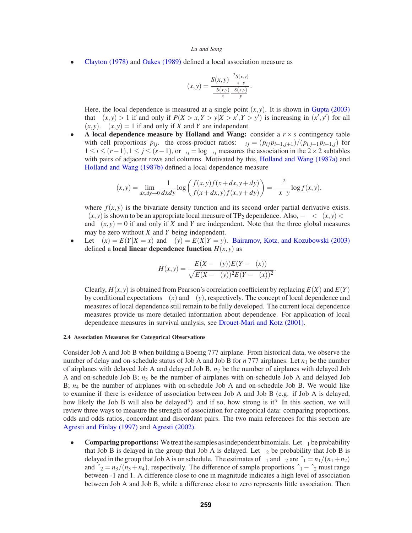• Clayton (1978) and Oakes (1989) defined a local association measure as

$$
\rho(x,y) = \frac{S(x,y) \frac{\partial^2 S(x,y)}{\partial x \partial y}}{\frac{\partial S(x,y)}{\partial x} \frac{\partial S(x,y)}{\partial y}}
$$

.

Here, the local dependence is measured at a single point  $(x, y)$ . It is shown in Gupta (2003) that  $\rho(x, y) > 1$  if and only if  $P(X > x, Y > y | X > x', Y > y')$  is increasing in  $(x', y')$  for all  $(x, y)$ .  $\rho(x, y) = 1$  if and only if *X* and *Y* are independent.

A local dependence measure by Holland and Wang: consider a  $r \times s$  contingency table with cell proportions  $p_{ij}$ . the cross-product ratios:  $\alpha_{ij} = (p_{ij}p_{i+1,j+1})/(p_{i,j+1}p_{i+1,j})$  for  $1 \le i \le (r-1)$ ,  $1 \le j \le (s-1)$ , or  $\gamma_{ij} = \log \alpha_{ij}$  measures the association in the 2 × 2 subtables with pairs of adjacent rows and columns. Motivated by this, Holland and Wang (1987a) and Holland and Wang (1987b) defined a local dependence measure

$$
\gamma(x,y) = \lim_{dx,dy\to 0} \frac{1}{dxdy} \log \left( \frac{f(x,y)f(x+dx,y+dy)}{f(x+dx,y)f(x,y+dy)} \right) = \frac{\partial^2}{\partial x \partial y} \log f(x,y),
$$

where  $f(x, y)$  is the bivariate density function and its second order partial derivative exists.  $\gamma(x, y)$  is shown to be an appropriate local measure of TP<sub>2</sub> dependence. Also,  $-\infty < \gamma(x, y) < \infty$ and  $\gamma(x, y) = 0$  if and only if *X* and *Y* are independent. Note that the three global measures may be zero without *X* and *Y* being independent.

Let  $\mu(x) = E(Y|X = x)$  and  $\mu(y) = E(X|Y = y)$ . Bairamov, Kotz, and Kozubowski (2003) defined a **local linear dependence function**  $H(x, y)$  as

$$
H(x, y) = \frac{E(X - \mu(y))E(Y - \mu(x))}{\sqrt{E(X - \mu(y))^{2}E(Y - \mu(x))^{2}}}.
$$

Clearly,  $H(x, y)$  is obtained from Pearson's correlation coefficient by replacing  $E(X)$  and  $E(Y)$ by conditional expectations  $\mu(x)$  and  $\mu(y)$ , respectively. The concept of local dependence and measures of local dependence still remain to be fully developed. The current local dependence measures provide us more detailed information about dependence. For application of local dependence measures in survival analysis, see Drouet-Mari and Kotz (2001).

### **2.4 Association Measures for Categorical Observations**

Consider Job A and Job B when building a Boeing 777 airplane. From historical data, we observe the number of delay and on-schedule status of Job A and Job B for *n* 777 airplanes. Let *n*<sup>1</sup> be the number of airplanes with delayed Job A and delayed Job B, *n*<sup>2</sup> be the number of airplanes with delayed Job A and on-schedule Job B; *n*<sup>3</sup> be the number of airplanes with on-schedule Job A and delayed Job B; *n*<sup>4</sup> be the number of airplanes with on-schedule Job A and on-schedule Job B. We would like to examine if there is evidence of association between Job A and Job B (e.g. if Job A is delayed, how likely the Job B will also be delayed?) and if so, how strong is it? In this section, we will review three ways to measure the strength of association for categorical data: comparing proportions, odds and odds ratios, concordant and discordant pairs. The two main references for this section are Agresti and Finlay (1997) and Agresti (2002).

**Comparing proportions:** We treat the samples as independent binomials. Let  $\pi_1$  be probability that Job B is delayed in the group that Job A is delayed. Let  $\pi_2$  be probability that Job B is delayed in the group that Job A is on schedule. The estimates of  $\pi_1$  and  $\pi_2$  are  $\hat{\pi}_1 = n_1/(n_1+n_2)$ and  $\hat{\pi}_2 = n_3/(n_3 + n_4)$ , respectively. The difference of sample proportions  $\hat{\pi}_1 - \hat{\pi}_2$  must range between -1 and 1. A difference close to one in magnitude indicates a high level of association between Job A and Job B, while a difference close to zero represents little association. Then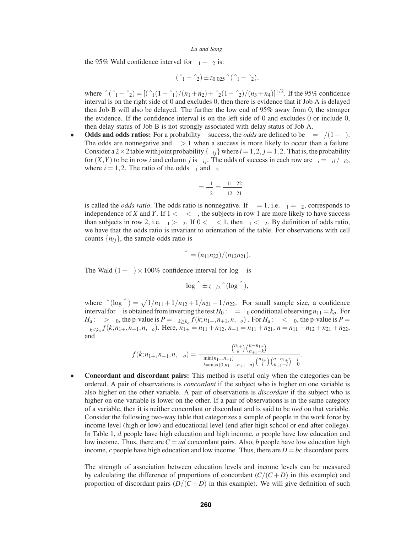the 95% Wald confidence interval for  $\pi_1 - \pi_2$  is:

$$
(\hat{\pi}_1 - \hat{\pi}_2) \pm z_{0.025} \hat{\sigma} (\hat{\pi}_1 - \hat{\pi}_2),
$$

where  $\hat{\sigma}(\hat{\pi}_1 - \hat{\pi}_2) = [(\hat{\pi}_1(1-\hat{\pi}_1)/(n_1+n_2)+\hat{\pi}_2(1-\hat{\pi}_2)/(n_3+n_4)]^{1/2}$ . If the 95% confidence interval is on the right side of 0 and excludes 0, then there is evidence that if Job A is delayed then Job B will also be delayed. The further the low end of 95% away from 0, the stronger the evidence. If the confidence interval is on the left side of 0 and excludes 0 or include 0, then delay status of Job B is not strongly associated with delay status of Job A.

**Odds and odds ratios:** For a probability  $\pi$  success, the *odds* are defined to be  $\theta = \pi/(1-\pi)$ . The odds are nonnegative and  $\theta > 1$  when a success is more likely to occur than a failure. Consider a 2  $\times$  2 table with joint probability  $\{\pi_{ij}\}$  where  $i = 1, 2, j = 1, 2$ . That is, the probability for  $(X, Y)$  to be in row *i* and column *j* is  $\pi_{ij}$ . The odds of success in each row are  $\theta_i = \pi_{i1}/\pi_{i2}$ , where  $i = 1, 2$ . The ratio of the odds  $\theta_1$  and  $\theta_2$ 

$$
\Theta = \frac{\theta_1}{\theta_2} = \frac{\pi_{11}\pi_{22}}{\pi_{12}\pi_{21}}
$$

is called the *odds ratio*. The odds ratio is nonnegative. If  $\Theta = 1$ , i.e.  $\theta_1 = \theta_2$ , corresponds to independence of *X* and *Y*. If  $1 < \Theta < \infty$ , the subjects in row 1 are more likely to have success than subjects in row 2, i.e.  $\pi_1 > \pi_2$ . If  $0 < \Theta < 1$ , then  $\pi_1 < \pi_2$ . By definition of odds ratio, we have that the odds ratio is invariant to orientation of the table. For observations with cell counts  $\{n_{ij}\}\$ , the sample odds ratio is

$$
\hat{\Theta} = (n_{11}n_{22})/(n_{12}n_{21}).
$$

The Wald  $(1-\alpha) \times 100\%$  confidence interval for logΘ is

$$
\log \hat{\Theta} \pm z_{\alpha/2} \hat{\sigma} (\log \hat{\Theta}),
$$

where  $\hat{\sigma}(\log \hat{\Theta}) = \sqrt{1/n_{11} + 1/n_{12} + 1/n_{21} + 1/n_{22}}$ . For small sample size, a confidence interval for  $\Theta$  is obtained from inverting the test  $H_0$ :  $\Theta = \Theta_0$  conditional observing  $n_{11} = k_o$ . For *H<sub>a</sub>* : Θ > Θ<sub>0</sub>, the p-value is  $P = \sum_{k \geq k_o} f(k; n_{1+}, n_{+1}, n, \theta_o)$ . For  $H_a$ : Θ < Θ<sub>0</sub>, the p-value is  $P =$  $\sum_{k \leq k_o} f(k; n_{1+}, n_{+1}, n, \theta_o)$ . Here,  $n_{1+} = n_{11} + n_{12}, n_{+1} = n_{11} + n_{21}, n = n_{11} + n_{12} + n_{21} + n_{22}$ , and

$$
f(k; n_{1+}, n_{+1}, n, \Theta_o) = \frac{\binom{n_{1+}}{k}\binom{n-n_{1+}}{n_{1+}-k}}{\sum_{l=\max(0, n_{1+}+n_{1+}-n)}^{m(\{n_{1+}, n_{1+}-n_{1+}\})}\binom{n_{1+}}{l}\binom{n-n_{1+}}{n_{1+}-l}\Theta_o^l}.
$$

• **Concordant and discordant pairs:** This method is useful only when the categories can be ordered. A pair of observations is *concordant* if the subject who is higher on one variable is also higher on the other variable. A pair of observations is *discordant* if the subject who is higher on one variable is lower on the other. If a pair of observations is in the same category of a variable, then it is neither concordant or discordant and is said to be *tied* on that variable. Consider the following two-way table that categorizes a sample of people in the work force by income level (high or low) and educational level (end after high school or end after college). In Table 1, *d* people have high education and high income, *a* people have low education and low income. Thus, there are  $C = ad$  concordant pairs. Also, *b* people have low education high income,  $c$  people have high education and low income. Thus, there are  $D = bc$  discordant pairs.

The strength of association between education levels and income levels can be measured by calculating the difference of proportions of concordant  $(C/(C+D))$  in this example) and proportion of discordant pairs  $(D/(C+D))$  in this example). We will give definition of such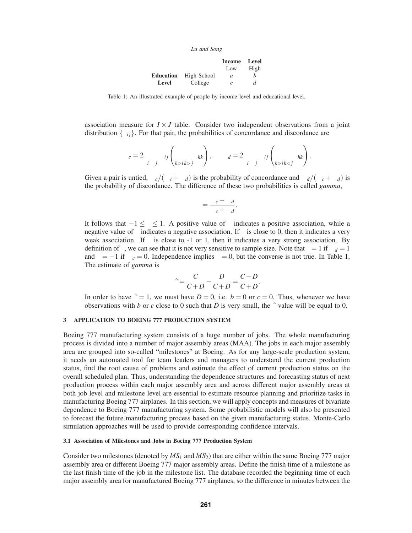|  |  | Lu and Song |
|--|--|-------------|
|--|--|-------------|

|                  |             | Income Level |      |
|------------------|-------------|--------------|------|
|                  |             | Low          | High |
| <b>Education</b> | High School | $\alpha$     | h    |
| Level            | College     | c            | d    |

Table 1: An illustrated example of people by income level and educational level.

association measure for  $I \times J$  table. Consider two independent observations from a joint distribution  $\{\pi_{ij}\}\$ . For that pair, the probabilities of concordance and discordance are

$$
\Pi_c = 2 \sum_i \sum_j \pi_{ij} \left( \sum_{h>i} \sum_{k>j} \pi_{hk} \right), \quad \Pi_d = 2 \sum_i \sum_j \pi_{ij} \left( \sum_{h>i} \sum_{k
$$

Given a pair is untied,  $\Pi_c/(\Pi_c + \Pi_d)$  is the probability of concordance and  $\Pi_d/(\Pi_c + \Pi_d)$  is the probability of discordance. The difference of these two probabilities is called *gamma*,

$$
\gamma = \frac{\Pi_c - \Pi_d}{\Pi_c + \Pi_d}.
$$

It follows that  $-1 \le \gamma \le 1$ . A positive value of  $\gamma$  indicates a positive association, while a negative value of  $\gamma$  indicates a negative association. If  $\gamma$  is close to 0, then it indicates a very weak association. If  $\gamma$  is close to -1 or 1, then it indicates a very strong association. By definition of  $\gamma$ , we can see that it is not very sensitive to sample size. Note that  $\gamma = 1$  if  $\Pi_d = 1$ and  $\gamma = -1$  if  $\Pi_c = 0$ . Independence implies  $\gamma = 0$ , but the converse is not true. In Table 1, The estimate of *gamma* is

$$
\hat{\gamma} = \frac{C}{C+D} - \frac{D}{C+D} = \frac{C-D}{C+D}.
$$

In order to have  $\hat{\gamma} = 1$ , we must have  $D = 0$ , i.e.  $b = 0$  or  $c = 0$ . Thus, whenever we have observations with *b* or *c* close to 0 such that *D* is very small, the  $\hat{\gamma}$  value will be equal to 0.

### **3 APPLICATION TO BOEING 777 PRODUCTION SYSTEM**

Boeing 777 manufacturing system consists of a huge number of jobs. The whole manufacturing process is divided into a number of major assembly areas (MAA). The jobs in each major assembly area are grouped into so-called "milestones" at Boeing. As for any large-scale production system, it needs an automated tool for team leaders and managers to understand the current production status, find the root cause of problems and estimate the effect of current production status on the overall scheduled plan. Thus, understanding the dependence structures and forecasting status of next production process within each major assembly area and across different major assembly areas at both job level and milestone level are essential to estimate resource planning and prioritize tasks in manufacturing Boeing 777 airplanes. In this section, we will apply concepts and measures of bivariate dependence to Boeing 777 manufacturing system. Some probabilistic models will also be presented to forecast the future manufacturing process based on the given manufacturing status. Monte-Carlo simulation approaches will be used to provide corresponding confidence intervals.

### **3.1 Association of Milestones and Jobs in Boeing 777 Production System**

Consider two milestones (denoted by  $MS_1$  and  $MS_2$ ) that are either within the same Boeing 777 major assembly area or different Boeing 777 major assembly areas. Define the finish time of a milestone as the last finish time of the job in the milestone list. The database recorded the beginning time of each major assembly area for manufactured Boeing 777 airplanes, so the difference in minutes between the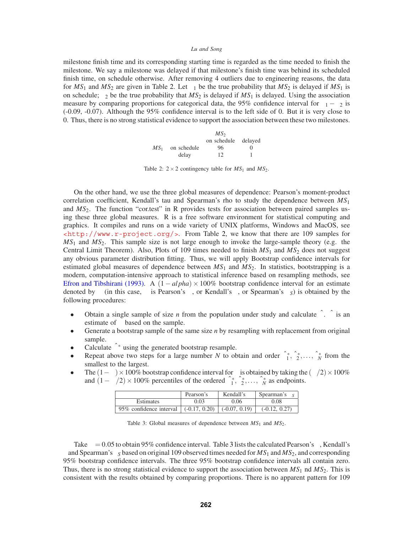milestone finish time and its corresponding starting time is regarded as the time needed to finish the milestone. We say a milestone was delayed if that milestone's finish time was behind its scheduled finish time, on schedule otherwise. After removing 4 outliers due to engineering reasons, the data for  $MS_1$  and  $MS_2$  are given in Table 2. Let  $\pi_1$  be the true probability that  $MS_2$  is delayed if  $MS_1$  is on schedule;  $\pi_2$  be the true probability that  $MS_2$  is delayed if  $MS_1$  is delayed. Using the association measure by comparing proportions for categorical data, the 95% confidence interval for  $\pi_1 - \pi_2$  is (-0.09, -0.07). Although the 95% confidence interval is to the left side of 0. But it is very close to 0. Thus, there is no strong statistical evidence to support the association between these two milestones.

|        |             | $MS_2$      |                   |
|--------|-------------|-------------|-------------------|
|        |             | on schedule | delayed           |
| $MS_1$ | on schedule | 96          | $\mathbf{\Omega}$ |
|        | delay       | 12          |                   |

Table 2:  $2 \times 2$  contingency table for  $MS_1$  and  $MS_2$ .

On the other hand, we use the three global measures of dependence: Pearson's moment-product correlation coefficient, Kendall's tau and Spearman's rho to study the dependence between *MS*<sup>1</sup> and *MS*<sub>2</sub>. The function "cor.test" in R provides tests for association between paired samples using these three global measures. R is a free software environment for statistical computing and graphics. It compiles and runs on a wide variety of UNIX platforms, Windows and MacOS, see  $\text{chttp:} //$ www.r-project.org/>. From Table 2, we know that there are 109 samples for  $MS<sub>1</sub>$  and  $MS<sub>2</sub>$ . This sample size is not large enough to invoke the large-sample theory (e.g. the Central Limit Theorem). Also, Plots of 109 times needed to finish *MS*<sup>1</sup> and *MS*<sup>2</sup> does not suggest any obvious parameter distribution fitting. Thus, we will apply Bootstrap confidence intervals for estimated global measures of dependence between  $MS<sub>1</sub>$  and  $MS<sub>2</sub>$ . In statistics, bootstrapping is a modern, computation-intensive approach to statistical inference based on resampling methods, see Efron and Tibshirani (1993). A  $(1 - alpha) \times 100\%$  bootstrap confidence interval for an estimate denoted by  $\theta$  (in this case,  $\theta$  is Pearson's  $\rho$ , or Kendall's  $\tau$ , or Spearman's  $\rho_S$ ) is obtained by the following procedures:

- Obtain a single sample of size *n* from the population under study and calculate  $\hat{\theta}$ .  $\hat{\theta}$  is an estimate of  $\theta$  based on the sample.
- Generate a bootstrap sample of the same size *n* by resampling with replacement from original sample.
- Calculate  $\hat{\theta}^*$  using the generated bootstrap resample.
- Repeat above two steps for a large number *N* to obtain and order  $\hat{\theta}_1^*, \hat{\theta}_2^*, \dots, \hat{\theta}_N^*$  from the smallest to the largest.
- The  $(1-\alpha) \times 100\%$  bootstrap confidence interval for  $\theta$  is obtained by taking the  $(\alpha/2) \times 100\%$ and  $(1 - \alpha/2) \times 100\%$  percentiles of the ordered  $\hat{\theta}_1^*, \hat{\theta}_2^*, \dots, \hat{\theta}_N^*$  as endpoints.

|                                           | Pearson's $\rho$ | Kendall's $\tau$     | Spearman's $\rho_s$ |
|-------------------------------------------|------------------|----------------------|---------------------|
| Estimates                                 | 0.03             | 0.06                 | 0.08                |
| 95% confidence interval $ (-0.17, 0.20) $ |                  | $\sim$ (-0.07, 0.19) | $(-0.12, 0.27)$     |

|  |  |  |  |  | Table 3: Global measures of dependence between $MS_1$ and $MS_2$ . |  |  |  |  |
|--|--|--|--|--|--------------------------------------------------------------------|--|--|--|--|
|--|--|--|--|--|--------------------------------------------------------------------|--|--|--|--|

Take  $\alpha = 0.05$  to obtain 95% confidence interval. Table 3 lists the calculated Pearson's  $\rho$ , Kendall's  $\tau$  and Spearman's  $\rho_S$  based on original 109 observed times needed for  $MS_1$  and  $MS_2$ , and corresponding 95% bootstrap confidence intervals. The three 95% bootstrap confidence intervals all contain zero. Thus, there is no strong statistical evidence to support the association between  $MS_1$  nd  $MS_2$ . This is consistent with the results obtained by comparing proportions. There is no apparent pattern for 109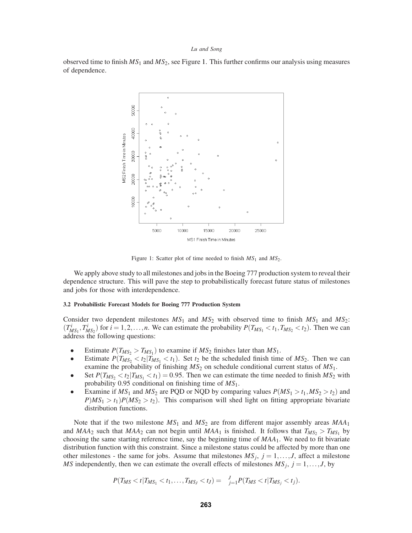observed time to finish *MS*<sup>1</sup> and *MS*2, see Figure 1. This further confirms our analysis using measures of dependence.



Figure 1: Scatter plot of time needed to finish  $MS_1$  and  $MS_2$ .

We apply above study to all milestones and jobs in the Boeing 777 production system to reveal their dependence structure. This will pave the step to probabilistically forecast future status of milestones and jobs for those with interdependence.

## **3.2 Probabilistic Forecast Models for Boeing 777 Production System**

Consider two dependent milestones  $MS_1$  and  $MS_2$  with observed time to finish  $MS_1$  and  $MS_2$ :  $(T_{MS_1}^i, T_{MS_2}^i)$  for  $i = 1, 2, ..., n$ . We can estimate the probability  $P(T_{MS_1} < t_1, T_{MS_2} < t_2)$ . Then we can address the following questions:

- Estimate  $P(T_{MS_2} > T_{MS_1})$  to examine if  $MS_2$  finishes later than  $MS_1$ .
- Estimate  $P(T_{MS_2} < t_2 | T_{MS_1} < t_1)$ . Set  $t_2$  be the scheduled finish time of  $MS_2$ . Then we can examine the probability of finishing *MS*<sup>2</sup> on schedule conditional current status of *MS*1.
- Set  $P(T_{MS_2} < t_2 | T_{MS_1} < t_1) = 0.95$ . Then we can estimate the time needed to finish  $MS_2$  with probability 0.95 conditional on finishing time of *MS*1.
- Examine if  $MS_1$  and  $MS_2$  are PQD or NQD by comparing values  $P(MS_1 > t_1, MS_2 > t_2)$  and  $P/MS_1 > t_1$ ) $P(MS_2 > t_2)$ . This comparison will shed light on fitting appropriate bivariate distribution functions.

Note that if the two milestone *MS*<sup>1</sup> and *MS*<sup>2</sup> are from different major assembly areas *MAA*<sup>1</sup> and *MAA*<sub>2</sub> such that *MAA*<sub>2</sub> can not begin until *MAA*<sub>1</sub> is finished. It follows that  $T_{MS_2} > T_{MS_1}$  by choosing the same starting reference time, say the beginning time of *MAA*1. We need to fit bivariate distribution function with this constraint. Since a milestone status could be affected by more than one other milestones - the same for jobs. Assume that milestones  $MS_i$ ,  $j = 1, \ldots, J$ , affect a milestone *MS* independently, then we can estimate the overall effects of milestones  $MS_j$ ,  $j = 1, \ldots, J$ , by

$$
P(T_{MS} < t | T_{MS_1} < t_1, \dots, T_{MS_J} < t_J) = \Pi_{j=1}^J P(T_{MS} < t | T_{MS_j} < t_j).
$$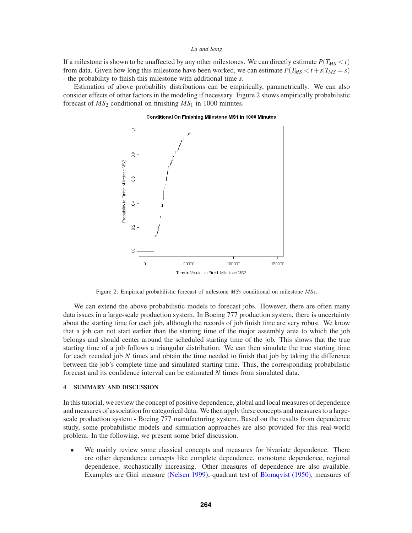If a milestone is shown to be unaffected by any other milestones. We can directly estimate  $P(T_{MS} < t)$ from data. Given how long this milestone have been worked, we can estimate  $P(T_{MS} < t + s | T_{MS} = s)$ - the probability to finish this milestone with additional time *s*.

Estimation of above probability distributions can be empirically, parametrically. We can also consider effects of other factors in the modeling if necessary. Figure 2 shows empirically probabilistic forecast of *MS*<sup>2</sup> conditional on finishing *MS*<sup>1</sup> in 1000 minutes.

## Conditional On Finishing Milestone MS1 in 1000 Minutes



Figure 2: Empirical probabilistic forecast of milestone  $MS_2$  conditional on milestone  $MS_1$ .

We can extend the above probabilistic models to forecast jobs. However, there are often many data issues in a large-scale production system. In Boeing 777 production system, there is uncertainty about the starting time for each job, although the records of job finish time are very robust. We know that a job can not start earlier than the starting time of the major assembly area to which the job belongs and should center around the scheduled starting time of the job. This shows that the true starting time of a job follows a triangular distribution. We can then simulate the true starting time for each recoded job *N* times and obtain the time needed to finish that job by taking the difference between the job's complete time and simulated starting time. Thus, the corresponding probabilistic forecast and its confidence interval can be estimated *N* times from simulated data.

#### **4 SUMMARY AND DISCUSSION**

In this tutorial, we review the concept of positive dependence, global and local measures of dependence and measures of association for categorical data. We then apply these concepts and measures to a largescale production system - Boeing 777 manufacturing system. Based on the results from dependence study, some probabilistic models and simulation approaches are also provided for this real-world problem. In the following, we present some brief discussion.

We mainly review some classical concepts and measures for bivariate dependence. There are other dependence concepts like complete dependence, monotone dependence, regional dependence, stochastically increasing. Other measures of dependence are also available. Examples are Gini measure (Nelsen 1999), quadrant test of Blomqvist (1950), measures of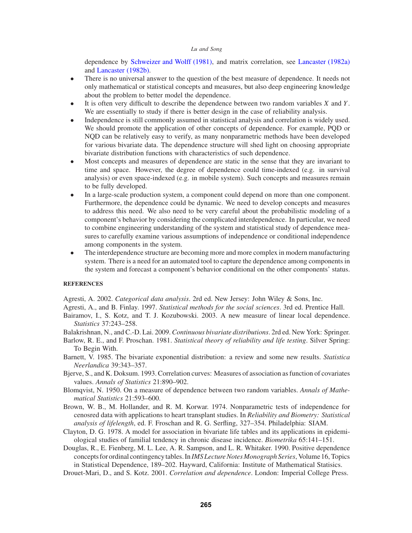dependence by Schweizer and Wolff (1981), and matrix correlation, see Lancaster (1982a) and Lancaster (1982b).

- There is no universal answer to the question of the best measure of dependence. It needs not only mathematical or statistical concepts and measures, but also deep engineering knowledge about the problem to better model the dependence.
- It is often very difficult to describe the dependence between two random variables *X* and *Y*. We are essentially to study if there is better design in the case of reliability analysis.
- Independence is still commonly assumed in statistical analysis and correlation is widely used. We should promote the application of other concepts of dependence. For example, PQD or NQD can be relatively easy to verify, as many nonparametric methods have been developed for various bivariate data. The dependence structure will shed light on choosing appropriate bivariate distribution functions with characteristics of such dependence.
- Most concepts and measures of dependence are static in the sense that they are invariant to time and space. However, the degree of dependence could time-indexed (e.g. in survival analysis) or even space-indexed (e.g. in mobile system). Such concepts and measures remain to be fully developed.
- In a large-scale production system, a component could depend on more than one component. Furthermore, the dependence could be dynamic. We need to develop concepts and measures to address this need. We also need to be very careful about the probabilistic modeling of a component's behavior by considering the complicated interdependence. In particular, we need to combine engineering understanding of the system and statistical study of dependence measures to carefully examine various assumptions of independence or conditional independence among components in the system.
- The interdependence structure are becoming more and more complex in modern manufacturing system. There is a need for an automated tool to capture the dependence among components in the system and forecast a component's behavior conditional on the other components' status.

## **REFERENCES**

Agresti, A. 2002. *Categorical data analysis*. 2rd ed. New Jersey: John Wiley & Sons, Inc.

- Agresti, A., and B. Finlay. 1997. *Statistical methods for the social sciences*. 3rd ed. Prentice Hall.
- Bairamov, I., S. Kotz, and T. J. Kozubowski. 2003. A new measure of linear local dependence. *Statistics* 37:243–258.

Balakrishnan, N., and C.-D. Lai. 2009.*Continuous bivariate distributions*. 2rd ed. New York: Springer.

Barlow, R. E., and F. Proschan. 1981. *Statistical theory of reliability and life testing*. Silver Spring: To Begin With.

Barnett, V. 1985. The bivariate exponential distribution: a review and some new results. *Statistica Neerlandica* 39:343–357.

- Bjerve, S., and K. Doksum. 1993. Correlation curves: Measures of association as function of covariates values. *Annals of Statistics* 21:890–902.
- Blomqvist, N. 1950. On a measure of dependence between two random variables. *Annals of Mathematical Statistics* 21:593–600.
- Brown, W. B., M. Hollander, and R. M. Korwar. 1974. Nonparametric tests of independence for cenosred data with applications to heart transplant studies. In *Reliability and Biometry: Statistical analysis of lifelength*, ed. F. Froschan and R. G. Serfling, 327–354. Philadelphia: SIAM.
- Clayton, D. G. 1978. A model for association in bivariate life tables and its applications in epidemiological studies of familial tendency in chronic disease incidence. *Biometrika* 65:141–151.

Douglas, R., E. Fienberg, M. L. Lee, A. R. Sampson, and L. R. Whitaker. 1990. Positive dependence concepts for ordinal contingency tables. In *IMS Lecture Notes Monograph Series*, Volume 16, Topics in Statistical Dependence, 189–202. Hayward, California: Institute of Mathematical Statisics.

Drouet-Mari, D., and S. Kotz. 2001. *Correlation and dependence*. London: Imperial College Press.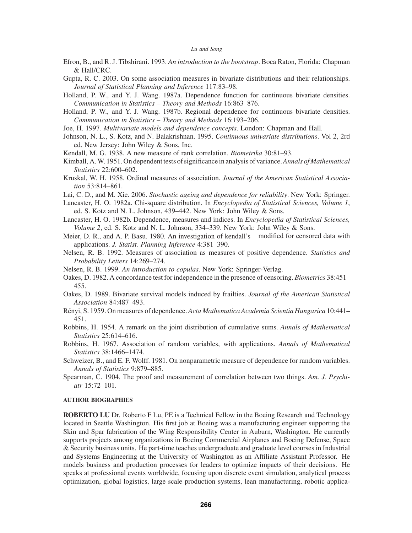- Efron, B., and R. J. Tibshirani. 1993. *An introduction to the bootstrap*. Boca Raton, Florida: Chapman & Hall/CRC.
- Gupta, R. C. 2003. On some association measures in bivariate distributions and their relationships. *Journal of Statistical Planning and Inference* 117:83–98.
- Holland, P. W., and Y. J. Wang. 1987a. Dependence function for continuous bivariate densities. *Communication in Statistics – Theory and Methods* 16:863–876.
- Holland, P. W., and Y. J. Wang. 1987b. Regional dependence for continuous bivariate densities. *Communication in Statistics – Theory and Methods* 16:193–206.
- Joe, H. 1997. *Multivariate models and dependence concepts*. London: Chapman and Hall.
- Johnson, N. L., S. Kotz, and N. Balakrishnan. 1995. *Continuous univariate distributions*. Vol 2, 2rd ed. New Jersey: John Wiley & Sons, Inc.
- Kendall, M. G. 1938. A new measure of rank correlation. *Biometrika* 30:81–93.
- Kimball, A. W. 1951. On dependent tests of significance in analysis of variance.*Annals of Mathematical Statistics* 22:600–602.
- Kruskal, W. H. 1958. Ordinal measures of association. *Journal of the American Statistical Association* 53:814–861.
- Lai, C. D., and M. Xie. 2006. *Stochastic ageing and dependence for reliability*. New York: Springer.
- Lancaster, H. O. 1982a. Chi-square distribution. In *Encyclopedia of Statistical Sciences, Volume 1*, ed. S. Kotz and N. L. Johnson, 439–442. New York: John Wiley & Sons.
- Lancaster, H. O. 1982b. Dependence, measures and indices. In *Encyclopedia of Statistical Sciences, Volume 2*, ed. S. Kotz and N. L. Johnson, 334–339. New York: John Wiley & Sons.
- Meier, D. R., and A. P. Basu. 1980. An investigation of kendall's  $\tau$  modified for censored data with applications. *J. Statist. Planning Inference* 4:381–390.
- Nelsen, R. B. 1992. Measures of association as measures of positive dependence. *Statistics and Probability Letters* 14:269–274.
- Nelsen, R. B. 1999. *An introduction to copulas*. New York: Springer-Verlag.
- Oakes, D. 1982. A concordance test for independence in the presence of censoring. *Biometrics* 38:451– 455.
- Oakes, D. 1989. Bivariate survival models induced by frailties. *Journal of the American Statistical Association* 84:487–493.
- Rényi, S. 1959. On measures of dependence. Acta Mathematica Academia Scientia Hungarica 10:441-451.
- Robbins, H. 1954. A remark on the joint distribution of cumulative sums. *Annals of Mathematical Statistics* 25:614–616.
- Robbins, H. 1967. Association of random variables, with applications. *Annals of Mathematical Statistics* 38:1466–1474.
- Schweizer, B., and E. F. Wolff. 1981. On nonparametric measure of dependence for random variables. *Annals of Statistics* 9:879–885.
- Spearman, C. 1904. The proof and measurement of correlation between two things. *Am. J. Psychiatr* 15:72–101.

### **AUTHOR BIOGRAPHIES**

**ROBERTO LU** Dr. Roberto F Lu, PE is a Technical Fellow in the Boeing Research and Technology located in Seattle Washington. His first job at Boeing was a manufacturing engineer supporting the Skin and Spar fabrication of the Wing Responsibility Center in Auburn, Washington. He currently supports projects among organizations in Boeing Commercial Airplanes and Boeing Defense, Space & Security business units. He part-time teaches undergraduate and graduate level courses in Industrial and Systems Engineering at the University of Washington as an Affiliate Assistant Professor. He models business and production processes for leaders to optimize impacts of their decisions. He speaks at professional events worldwide, focusing upon discrete event simulation, analytical process optimization, global logistics, large scale production systems, lean manufacturing, robotic applica-